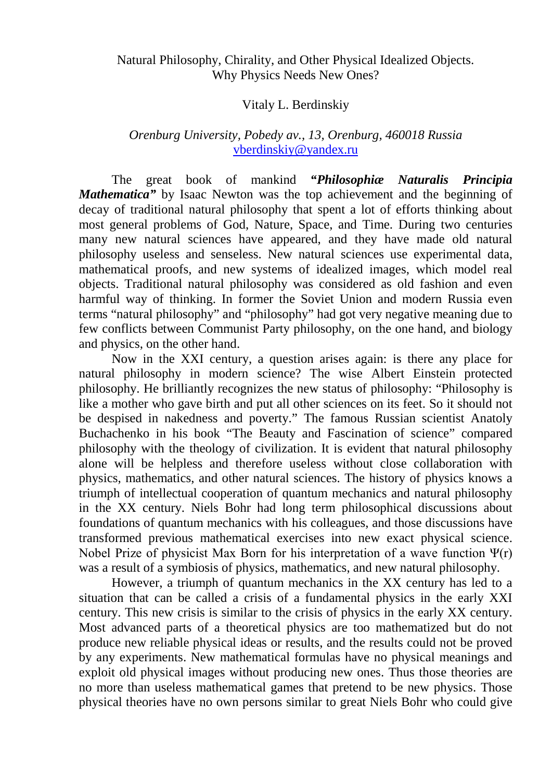## Natural Philosophy, Chirality, and Other Physical Idealized Objects. Why Physics Needs New Ones?

## Vitaly L. Berdinskiy

## *Orenburg University, Pobedy av., 13, Orenburg, 460018 Russia* [vberdinskiy@yandex.ru](mailto:vberdinskiy@yandex.ru)

The great book of mankind *"Philosophiæ Naturalis Principia Mathematica*" by Isaac Newton was the top achievement and the beginning of decay of traditional natural philosophy that spent a lot of efforts thinking about most general problems of God, Nature, Space, and Time. During two centuries many new natural sciences have appeared, and they have made old natural philosophy useless and senseless. New natural sciences use experimental data, mathematical proofs, and new systems of idealized images, which model real objects. Traditional natural philosophy was considered as old fashion and even harmful way of thinking. In former the Soviet Union and modern Russia even terms "natural philosophy" and "philosophy" had got very negative meaning due to few conflicts between Communist Party philosophy, on the one hand, and biology and physics, on the other hand.

Now in the XXI century, a question arises again: is there any place for natural philosophy in modern science? The wise Albert Einstein protected philosophy. He brilliantly recognizes the new status of philosophy: "Philosophy is like a mother who gave birth and put all other sciences on its feet. So it should not be despised in nakedness and poverty." The famous Russian scientist Anatoly Buchachenko in his book "The Beauty and Fascination of science" compared philosophy with the theology of civilization. It is evident that natural philosophy alone will be helpless and therefore useless without close collaboration with physics, mathematics, and other natural sciences. The history of physics knows a triumph of intellectual cooperation of quantum mechanics and natural philosophy in the XX century. Niels Bohr had long term philosophical discussions about foundations of quantum mechanics with his colleagues, and those discussions have transformed previous mathematical exercises into new exact physical science. Nobel Prize of physicist Max Born for his interpretation of a wave function  $\Psi(r)$ was a result of a symbiosis of physics, mathematics, and new natural philosophy.

However, a triumph of quantum mechanics in the XX century has led to a situation that can be called a crisis of a fundamental physics in the early XXI century. This new crisis is similar to the crisis of physics in the early XX century. Most advanced parts of a theoretical physics are too mathematized but do not produce new reliable physical ideas or results, and the results could not be proved by any experiments. New mathematical formulas have no physical meanings and exploit old physical images without producing new ones. Thus those theories are no more than useless mathematical games that pretend to be new physics. Those physical theories have no own persons similar to great Niels Bohr who could give